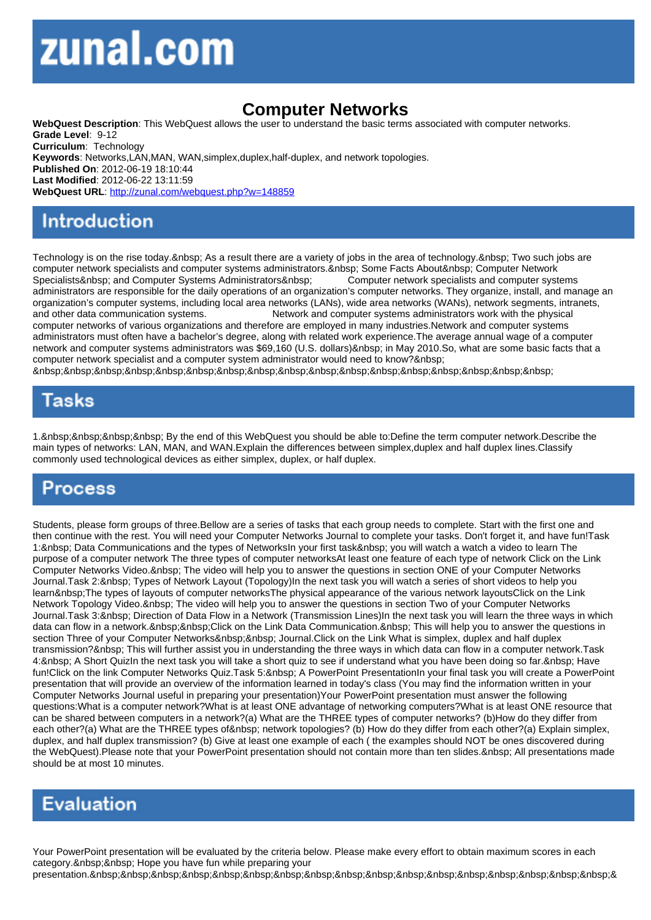## Computer Networks

WebQuest Description: This WebQuest allows the user to understand the basic terms associated with computer networks. Grade Level: 9-12 Curriculum: Technology Keywords: Networks,LAN,MAN, WAN,simplex,duplex,half-duplex, and network topologies. Published On: 2012-06-19 18:10:44 Last Modified: 2012-06-22 13:11:59 WebQuest URL: http://zunal.com/webquest.php?w=148859

Technology is on the rise today. As a result there are a variety of jobs in the area of technology. Two such jobs are computer network specialists and computer systems administrators. Some Facts About Computer Network Specialists&nbsp: and Computer Systems Administrators&nbsp: Computer network specialists and computer systems administrators are responsible for the daily operations of an organization's computer networks. They organize, install, and manage an organization's computer systems, including local area networks (LANs), wide area networks (WANs), network segments, intranets, and other data communication systems. Network and computer systems administrators work with the physical computer networks of various organizations and therefore are employed in many industries.Network and computer systems administrators must often have a bachelor's degree, along with related work experience.The average annual wage of a computer network and computer systems administrators was \$69,160 (U.S. dollars) in May 2010.So, what are some basic facts that a computer network specialist and a computer system administrator would need to know? 

1. By the end of this WebQuest you should be able to:Define the term computer network.Describe the main types of networks: LAN, MAN, and WAN.Explain the differences between simplex,duplex and half duplex lines.Classify commonly used technological devices as either simplex, duplex, or half duplex.

Students, please form groups of three.Bellow are a series of tasks that each group needs to complete. Start with the first one and then continue with the rest. You will need your Computer Networks Journal to complete your tasks. Don't forget it, and have fun!Task 1: Data Communications and the types of NetworksIn your first task you will watch a watch a video to learn The purpose of a computer network The three types of computer networksAt least one feature of each type of network Click on the Link Computer Networks Video. &nbsp: The video will help you to answer the questions in section ONE of your Computer Networks Journal.Task 2: Types of Network Layout (Topology)In the next task you will watch a series of short videos to help you learn The types of layouts of computer networksThe physical appearance of the various network layoutsClick on the Link Network Topology Video. & nbsp; The video will help you to answer the questions in section Two of your Computer Networks Journal.Task 3: Direction of Data Flow in a Network (Transmission Lines)In the next task you will learn the three ways in which data can flow in a network. Click on the Link Data Communication. This will help you to answer the questions in section Three of your Computer Networks Journal.Click on the Link What is simplex, duplex and half duplex transmission? This will further assist you in understanding the three ways in which data can flow in a computer network.Task 4: & nbsp: A Short Quizin the next task you will take a short quiz to see if understand what you have been doing so far. & nbsp: Have fun!Click on the link Computer Networks Quiz.Task 5: A PowerPoint PresentationIn your final task you will create a PowerPoint presentation that will provide an overview of the information learned in today's class (You may find the information written in your Computer Networks Journal useful in preparing your presentation)Your PowerPoint presentation must answer the following questions:What is a computer network?What is at least ONE advantage of networking computers?What is at least ONE resource that can be shared between computers in a network?(a) What are the THREE types of computer networks? (b)How do they differ from each other?(a) What are the THREE types of &nbsp: network topologies? (b) How do they differ from each other?(a) Explain simplex, duplex, and half duplex transmission? (b) Give at least one example of each ( the examples should NOT be ones discovered during the WebQuest).Please note that your PowerPoint presentation should not contain more than ten slides. All presentations made should be at most 10 minutes.

Your PowerPoint presentation will be evaluated by the criteria below. Please make every effort to obtain maximum scores in each category. & nbsp; & nbsp; Hope you have fun while preparing your

presentation. &